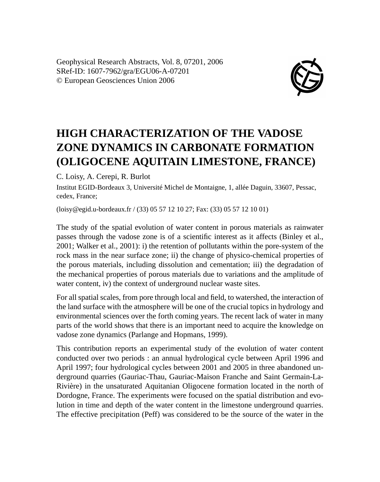Geophysical Research Abstracts, Vol. 8, 07201, 2006 SRef-ID: 1607-7962/gra/EGU06-A-07201 © European Geosciences Union 2006



## **HIGH CHARACTERIZATION OF THE VADOSE ZONE DYNAMICS IN CARBONATE FORMATION (OLIGOCENE AQUITAIN LIMESTONE, FRANCE)**

C. Loisy, A. Cerepi, R. Burlot

Institut EGID-Bordeaux 3, Université Michel de Montaigne, 1, allée Daguin, 33607, Pessac, cedex, France;

(loisy@egid.u-bordeaux.fr / (33) 05 57 12 10 27; Fax: (33) 05 57 12 10 01)

The study of the spatial evolution of water content in porous materials as rainwater passes through the vadose zone is of a scientific interest as it affects (Binley et al., 2001; Walker et al., 2001): i) the retention of pollutants within the pore-system of the rock mass in the near surface zone; ii) the change of physico-chemical properties of the porous materials, including dissolution and cementation; iii) the degradation of the mechanical properties of porous materials due to variations and the amplitude of water content, iv) the context of underground nuclear waste sites.

For all spatial scales, from pore through local and field, to watershed, the interaction of the land surface with the atmosphere will be one of the crucial topics in hydrology and environmental sciences over the forth coming years. The recent lack of water in many parts of the world shows that there is an important need to acquire the knowledge on vadose zone dynamics (Parlange and Hopmans, 1999).

This contribution reports an experimental study of the evolution of water content conducted over two periods : an annual hydrological cycle between April 1996 and April 1997; four hydrological cycles between 2001 and 2005 in three abandoned underground quarries (Gauriac-Thau, Gauriac-Maison Franche and Saint Germain-La-Rivière) in the unsaturated Aquitanian Oligocene formation located in the north of Dordogne, France. The experiments were focused on the spatial distribution and evolution in time and depth of the water content in the limestone underground quarries. The effective precipitation (Peff) was considered to be the source of the water in the